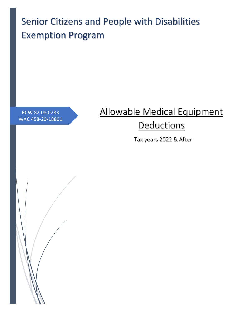Senior Citizens and People with Disabilities Exemption Program

RCW 82.08.0283 WAC 458-20-18801

# Allowable Medical Equipment **Deductions**

Tax years 2022 & After

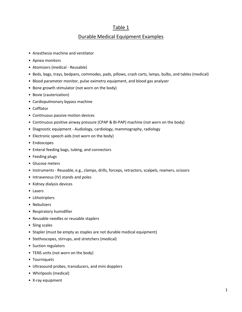#### Durable Medical Equipment Examples

- Anesthesia machine and ventilator
- Apnea monitors
- Atomizers (medical Reusable)
- Beds, bags, trays, bedpans, commodes, pads, pillows, crash carts, lamps, bulbs, and tables (medical)
- Blood parameter monitor, pulse oximetry equipment, and blood gas analyzer
- Bone growth stimulator (not worn on the body)
- Bovie (cauterization)
- Cardiopulmonary bypass machine
- Cofflator
- Continuous passive motion devices
- Continuous positive airway pressure (CPAP & BI-PAP) machine (not worn on the body)
- Diagnostic equipment Audiology, cardiology, mammography, radiology
- Electronic speech aids (not worn on the body)
- Endoscopes
- Enteral feeding bags, tubing, and connectors
- Feeding plugs
- Glucose meters
- Instruments Reusable, e.g., clamps, drills, forceps, retractors, scalpels, reamers, scissors
- Intravenous (IV) stands and poles
- Kidney dialysis devices
- Lasers
- Lithotripters
- Nebulizers
- Respiratory humidifier
- Reusable needles or reusable staplers
- Sling scales
- Stapler (must be empty as staples are not durable medical equipment)
- Stethoscopes, stirrups, and stretchers (medical)
- Suction regulators
- TENS units (not worn on the body)
- Tourniquets
- Ultrasound probes, transducers, and mini dopplers
- Whirlpools (medical)
- X-ray equipment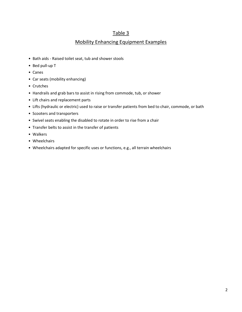### Mobility Enhancing Equipment Examples

- Bath aids Raised toilet seat, tub and shower stools
- Bed pull-up T
- Canes
- Car seats (mobility enhancing)
- Crutches
- Handrails and grab bars to assist in rising from commode, tub, or shower
- Lift chairs and replacement parts
- Lifts (hydraulic or electric) used to raise or transfer patients from bed to chair, commode, or bath
- Scooters and transporters
- Swivel seats enabling the disabled to rotate in order to rise from a chair
- Transfer belts to assist in the transfer of patients
- Walkers
- Wheelchairs
- Wheelchairs adapted for specific uses or functions, e.g., all terrain wheelchairs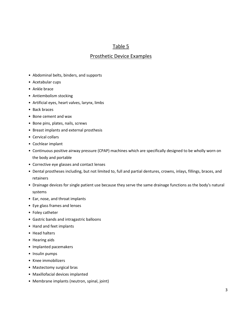### Prosthetic Device Examples

- Abdominal belts, binders, and supports
- Acetabular cups
- Ankle brace
- Antiembolism stocking
- Artificial eyes, heart valves, larynx, limbs
- Back braces
- Bone cement and wax
- Bone pins, plates, nails, screws
- Breast implants and external prosthesis
- Cervical collars
- Cochlear implant
- Continuous positive airway pressure (CPAP) machines which are specifically designed to be wholly worn on the body and portable
- Corrective eye glasses and contact lenses
- Dental prostheses including, but not limited to, full and partial dentures, crowns, inlays, fillings, braces, and retainers
- Drainage devices for single patient use because they serve the same drainage functions as the body's natural systems
- Ear, nose, and throat implants
- Eye glass frames and lenses
- Foley catheter
- Gastric bands and intragastric balloons
- Hand and feet implants
- Head halters
- Hearing aids
- Implanted pacemakers
- Insulin pumps
- Knee immobilizers
- Mastectomy surgical bras
- Maxillofacial devices implanted
- Membrane implants (neutron, spinal, joint)